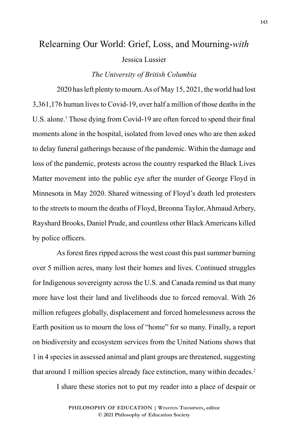# Relearning Our World: Grief, Loss, and Mourning-*with*

Jessica Lussier

## *The University of British Columbia*

2020 has left plenty to mourn. As of May 15, 2021, the world had lost 3,361,176 human lives to Covid-19, over half a million of those deaths in the U.S. alone.<sup>1</sup> Those dying from Covid-19 are often forced to spend their final moments alone in the hospital, isolated from loved ones who are then asked to delay funeral gatherings because of the pandemic. Within the damage and loss of the pandemic, protests across the country resparked the Black Lives Matter movement into the public eye after the murder of George Floyd in Minnesota in May 2020. Shared witnessing of Floyd's death led protesters to the streets to mourn the deaths of Floyd, Breonna Taylor, Ahmaud Arbery, Rayshard Brooks, Daniel Prude, and countless other Black Americans killed by police officers.

As forest fires ripped across the west coast this past summer burning over 5 million acres, many lost their homes and lives. Continued struggles for Indigenous sovereignty across the U.S. and Canada remind us that many more have lost their land and livelihoods due to forced removal. With 26 million refugees globally, displacement and forced homelessness across the Earth position us to mourn the loss of "home" for so many. Finally, a report on biodiversity and ecosystem services from the United Nations shows that 1 in 4 species in assessed animal and plant groups are threatened, suggesting that around 1 million species already face extinction, many within decades.2

I share these stories not to put my reader into a place of despair or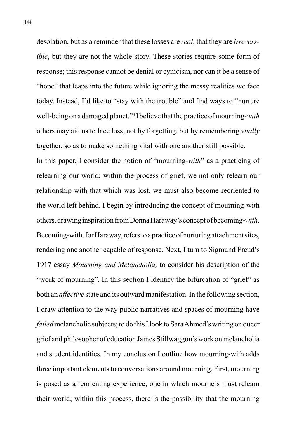desolation, but as a reminder that these losses are *real*, that they are *irreversible*, but they are not the whole story. These stories require some form of response; this response cannot be denial or cynicism, nor can it be a sense of "hope" that leaps into the future while ignoring the messy realities we face today. Instead, I'd like to "stay with the trouble" and find ways to "nurture well-being on a damaged planet."3 I believe that the practice of mourning-*with* others may aid us to face loss, not by forgetting, but by remembering *vitally* together, so as to make something vital with one another still possible.

In this paper, I consider the notion of "mourning-*with*" as a practicing of relearning our world; within the process of grief, we not only relearn our relationship with that which was lost, we must also become reoriented to the world left behind. I begin by introducing the concept of mourning-with others, drawing inspiration from Donna Haraway's concept of becoming-*with*. Becoming-with*,* for Haraway, refers to a practice of nurturing attachment sites, rendering one another capable of response. Next, I turn to Sigmund Freud's 1917 essay *Mourning and Melancholia,* to consider his description of the "work of mourning". In this section I identify the bifurcation of "grief" as both an *affective* state and its outward manifestation. In the following section, I draw attention to the way public narratives and spaces of mourning have *failed* melancholic subjects; to do this I look to Sara Ahmed's writing on queer grief and philosopher of education James Stillwaggon's work on melancholia and student identities. In my conclusion I outline how mourning-with adds three important elements to conversations around mourning. First, mourning is posed as a reorienting experience, one in which mourners must relearn their world; within this process, there is the possibility that the mourning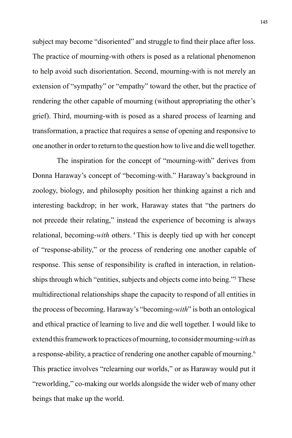subject may become "disoriented" and struggle to find their place after loss. The practice of mourning-with others is posed as a relational phenomenon to help avoid such disorientation. Second, mourning-with is not merely an extension of "sympathy" or "empathy" toward the other, but the practice of rendering the other capable of mourning (without appropriating the other's grief). Third, mourning-with is posed as a shared process of learning and transformation, a practice that requires a sense of opening and responsive to one another in order to return to the question how to live and die well together.

The inspiration for the concept of "mourning-with" derives from Donna Haraway's concept of "becoming-with." Haraway's background in zoology, biology, and philosophy position her thinking against a rich and interesting backdrop; in her work, Haraway states that "the partners do not precede their relating," instead the experience of becoming is always relational, becoming-*with* others. <sup>4</sup> This is deeply tied up with her concept of "response-ability," or the process of rendering one another capable of response. This sense of responsibility is crafted in interaction, in relationships through which "entities, subjects and objects come into being."5 These multidirectional relationships shape the capacity to respond of all entities in the process of becoming. Haraway's "becoming-*with*" is both an ontological and ethical practice of learning to live and die well together. I would like to extend this framework to practices of mourning, to consider mourning-*with* as a response-ability, a practice of rendering one another capable of mourning.6 This practice involves "relearning our worlds," or as Haraway would put it "reworlding," co-making our worlds alongside the wider web of many other beings that make up the world.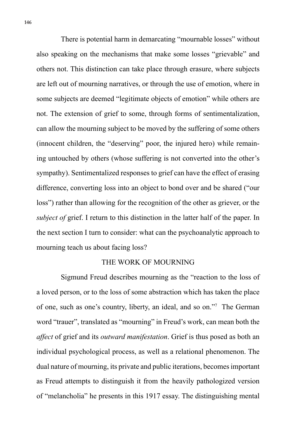There is potential harm in demarcating "mournable losses" without also speaking on the mechanisms that make some losses "grievable" and others not. This distinction can take place through erasure, where subjects are left out of mourning narratives, or through the use of emotion, where in some subjects are deemed "legitimate objects of emotion" while others are not. The extension of grief to some, through forms of sentimentalization, can allow the mourning subject to be moved by the suffering of some others (innocent children, the "deserving" poor, the injured hero) while remaining untouched by others (whose suffering is not converted into the other's sympathy). Sentimentalized responses to grief can have the effect of erasing difference, converting loss into an object to bond over and be shared ("our loss") rather than allowing for the recognition of the other as griever, or the *subject of* grief. I return to this distinction in the latter half of the paper. In the next section I turn to consider: what can the psychoanalytic approach to mourning teach us about facing loss?

### THE WORK OF MOURNING

Sigmund Freud describes mourning as the "reaction to the loss of a loved person, or to the loss of some abstraction which has taken the place of one, such as one's country, liberty, an ideal, and so on."7 The German word "trauer", translated as "mourning" in Freud's work, can mean both the *affect* of grief and its *outward manifestation*. Grief is thus posed as both an individual psychological process, as well as a relational phenomenon. The dual nature of mourning, its private and public iterations, becomes important as Freud attempts to distinguish it from the heavily pathologized version of "melancholia" he presents in this 1917 essay. The distinguishing mental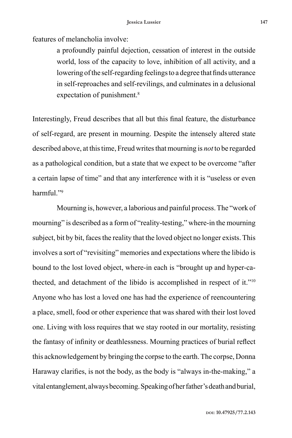features of melancholia involve:

a profoundly painful dejection, cessation of interest in the outside world, loss of the capacity to love, inhibition of all activity, and a lowering of the self-regarding feelings to a degree that finds utterance in self-reproaches and self-revilings, and culminates in a delusional expectation of punishment.<sup>8</sup>

Interestingly, Freud describes that all but this final feature, the disturbance of self-regard, are present in mourning. Despite the intensely altered state described above, at this time, Freud writes that mourning is *not* to be regarded as a pathological condition, but a state that we expect to be overcome "after a certain lapse of time" and that any interference with it is "useless or even harmful<sup>"9</sup>

Mourning is, however, a laborious and painful process. The "work of mourning" is described as a form of "reality-testing," where-in the mourning subject, bit by bit, faces the reality that the loved object no longer exists. This involves a sort of "revisiting" memories and expectations where the libido is bound to the lost loved object, where-in each is "brought up and hyper-cathected, and detachment of the libido is accomplished in respect of it."10 Anyone who has lost a loved one has had the experience of reencountering a place, smell, food or other experience that was shared with their lost loved one. Living with loss requires that we stay rooted in our mortality, resisting the fantasy of infinity or deathlessness. Mourning practices of burial reflect this acknowledgement by bringing the corpse to the earth. The corpse, Donna Haraway clarifies, is not the body, as the body is "always in-the-making," a vital entanglement, always becoming. Speaking of her father's death and burial,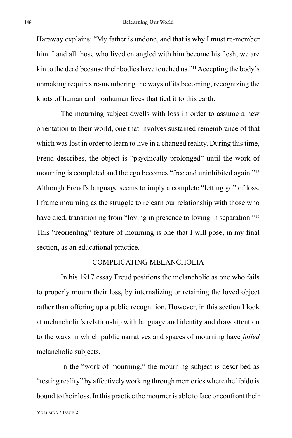Haraway explains: "My father is undone, and that is why I must re-member him. I and all those who lived entangled with him become his flesh; we are kin to the dead because their bodies have touched us."11 Accepting the body's unmaking requires re-membering the ways of its becoming, recognizing the knots of human and nonhuman lives that tied it to this earth.

The mourning subject dwells with loss in order to assume a new orientation to their world, one that involves sustained remembrance of that which was lost in order to learn to live in a changed reality. During this time, Freud describes, the object is "psychically prolonged" until the work of mourning is completed and the ego becomes "free and uninhibited again."<sup>12</sup> Although Freud's language seems to imply a complete "letting go" of loss, I frame mourning as the struggle to relearn our relationship with those who have died, transitioning from "loving in presence to loving in separation."<sup>13</sup> This "reorienting" feature of mourning is one that I will pose, in my final section, as an educational practice.

### COMPLICATING MELANCHOLIA

In his 1917 essay Freud positions the melancholic as one who fails to properly mourn their loss, by internalizing or retaining the loved object rather than offering up a public recognition. However, in this section I look at melancholia's relationship with language and identity and draw attention to the ways in which public narratives and spaces of mourning have *failed* melancholic subjects.

In the "work of mourning," the mourning subject is described as "testing reality" by affectively working through memories where the libido is bound to their loss. In this practice the mourner is able to face or confront their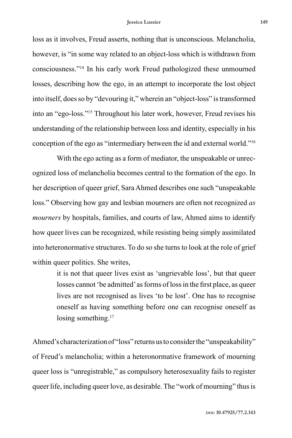loss as it involves, Freud asserts, nothing that is unconscious. Melancholia, however, is "in some way related to an object-loss which is withdrawn from consciousness."14 In his early work Freud pathologized these unmourned losses, describing how the ego, in an attempt to incorporate the lost object into itself, does so by "devouring it," wherein an "object-loss" is transformed into an "ego-loss."15 Throughout his later work, however, Freud revises his understanding of the relationship between loss and identity, especially in his conception of the ego as "intermediary between the id and external world."16

With the ego acting as a form of mediator, the unspeakable or unrecognized loss of melancholia becomes central to the formation of the ego. In her description of queer grief, Sara Ahmed describes one such "unspeakable loss." Observing how gay and lesbian mourners are often not recognized *as mourners* by hospitals, families, and courts of law, Ahmed aims to identify how queer lives can be recognized, while resisting being simply assimilated into heteronormative structures. To do so she turns to look at the role of grief within queer politics. She writes,

> it is not that queer lives exist as 'ungrievable loss', but that queer losses cannot 'be admitted' as forms of loss in the first place, as queer lives are not recognised as lives 'to be lost'. One has to recognise oneself as having something before one can recognise oneself as losing something.<sup>17</sup>

Ahmed's characterization of "loss" returns us to consider the "unspeakability" of Freud's melancholia; within a heteronormative framework of mourning queer loss is "unregistrable," as compulsory heterosexuality fails to register queer life, including queer love, as desirable. The "work of mourning" thus is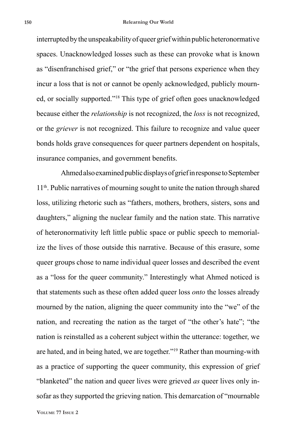interrupted by the unspeakability of queer grief within public heteronormative spaces. Unacknowledged losses such as these can provoke what is known as "disenfranchised grief," or "the grief that persons experience when they incur a loss that is not or cannot be openly acknowledged, publicly mourned, or socially supported."18 This type of grief often goes unacknowledged because either the *relationship* is not recognized, the *loss* is not recognized, or the *griever* is not recognized. This failure to recognize and value queer bonds holds grave consequences for queer partners dependent on hospitals, insurance companies, and government benefits.

Ahmed also examined public displays of grief in response to September 11th. Public narratives of mourning sought to unite the nation through shared loss, utilizing rhetoric such as "fathers, mothers, brothers, sisters, sons and daughters," aligning the nuclear family and the nation state. This narrative of heteronormativity left little public space or public speech to memorialize the lives of those outside this narrative. Because of this erasure, some queer groups chose to name individual queer losses and described the event as a "loss for the queer community." Interestingly what Ahmed noticed is that statements such as these often added queer loss *onto* the losses already mourned by the nation, aligning the queer community into the "we" of the nation, and recreating the nation as the target of "the other's hate"; "the nation is reinstalled as a coherent subject within the utterance: together, we are hated, and in being hated, we are together."19 Rather than mourning-with as a practice of supporting the queer community, this expression of grief "blanketed" the nation and queer lives were grieved *as* queer lives only insofar as they supported the grieving nation. This demarcation of "mournable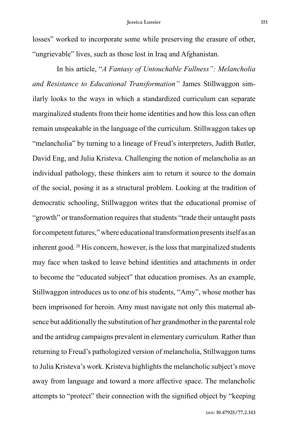losses" worked to incorporate some while preserving the erasure of other, "ungrievable" lives, such as those lost in Iraq and Afghanistan.

In his article, "*A Fantasy of Untouchable Fullness": Melancholia and Resistance to Educational Transformation"* James Stillwaggon similarly looks to the ways in which a standardized curriculum can separate marginalized students from their home identities and how this loss can often remain unspeakable in the language of the curriculum. Stillwaggon takes up "melancholia" by turning to a lineage of Freud's interpreters, Judith Butler, David Eng, and Julia Kristeva. Challenging the notion of melancholia as an individual pathology, these thinkers aim to return it source to the domain of the social, posing it as a structural problem. Looking at the tradition of democratic schooling, Stillwaggon writes that the educational promise of "growth" or transformation requires that students "trade their untaught pasts for competent futures," where educational transformation presents itself as an inherent good. 20 His concern, however, is the loss that marginalized students may face when tasked to leave behind identities and attachments in order to become the "educated subject" that education promises. As an example, Stillwaggon introduces us to one of his students, "Amy", whose mother has been imprisoned for heroin. Amy must navigate not only this maternal absence but additionally the substitution of her grandmother in the parental role and the antidrug campaigns prevalent in elementary curriculum. Rather than returning to Freud's pathologized version of melancholia, Stillwaggon turns to Julia Kristeva's work. Kristeva highlights the melancholic subject's move away from language and toward a more affective space. The melancholic attempts to "protect" their connection with the signified object by "keeping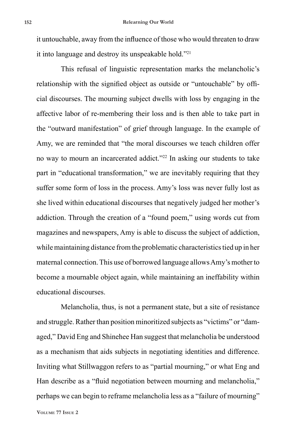it untouchable, away from the influence of those who would threaten to draw it into language and destroy its unspeakable hold."21

This refusal of linguistic representation marks the melancholic's relationship with the signified object as outside or "untouchable" by official discourses. The mourning subject dwells with loss by engaging in the affective labor of re-membering their loss and is then able to take part in the "outward manifestation" of grief through language. In the example of Amy, we are reminded that "the moral discourses we teach children offer no way to mourn an incarcerated addict."22 In asking our students to take part in "educational transformation," we are inevitably requiring that they suffer some form of loss in the process. Amy's loss was never fully lost as she lived within educational discourses that negatively judged her mother's addiction. Through the creation of a "found poem," using words cut from magazines and newspapers, Amy is able to discuss the subject of addiction, while maintaining distance from the problematic characteristics tied up in her maternal connection. This use of borrowed language allows Amy's mother to become a mournable object again, while maintaining an ineffability within educational discourses.

Melancholia, thus, is not a permanent state, but a site of resistance and struggle. Rather than position minoritized subjects as "victims" or "damaged," David Eng and Shinehee Han suggest that melancholia be understood as a mechanism that aids subjects in negotiating identities and difference. Inviting what Stillwaggon refers to as "partial mourning," or what Eng and Han describe as a "fluid negotiation between mourning and melancholia," perhaps we can begin to reframe melancholia less as a "failure of mourning"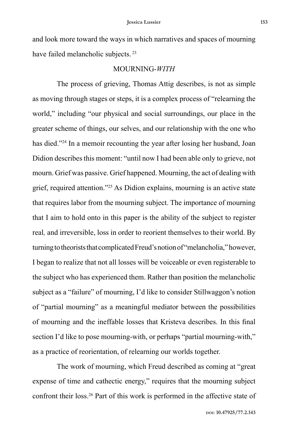and look more toward the ways in which narratives and spaces of mourning have failed melancholic subjects.<sup>23</sup>

### MOURNING-*WITH*

The process of grieving, Thomas Attig describes, is not as simple as moving through stages or steps, it is a complex process of "relearning the world," including "our physical and social surroundings, our place in the greater scheme of things, our selves, and our relationship with the one who has died."24 In a memoir recounting the year after losing her husband, Joan Didion describes this moment: "until now I had been able only to grieve, not mourn. Grief was passive. Grief happened. Mourning, the act of dealing with grief, required attention."25 As Didion explains, mourning is an active state that requires labor from the mourning subject. The importance of mourning that I aim to hold onto in this paper is the ability of the subject to register real*,* and irreversible, loss in order to reorient themselves to their world. By turning to theorists that complicated Freud's notion of "melancholia," however, I began to realize that not all losses will be voiceable or even registerable to the subject who has experienced them. Rather than position the melancholic subject as a "failure" of mourning, I'd like to consider Stillwaggon's notion of "partial mourning" as a meaningful mediator between the possibilities of mourning and the ineffable losses that Kristeva describes. In this final section I'd like to pose mourning-with, or perhaps "partial mourning-with," as a practice of reorientation, of relearning our worlds together.

The work of mourning, which Freud described as coming at "great expense of time and cathectic energy," requires that the mourning subject confront their loss.26 Part of this work is performed in the affective state of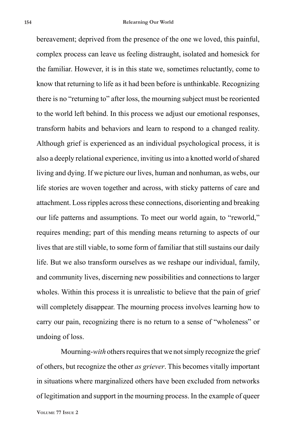bereavement; deprived from the presence of the one we loved, this painful, complex process can leave us feeling distraught, isolated and homesick for the familiar. However, it is in this state we, sometimes reluctantly, come to know that returning to life as it had been before is unthinkable. Recognizing there is no "returning to" after loss, the mourning subject must be reoriented to the world left behind. In this process we adjust our emotional responses, transform habits and behaviors and learn to respond to a changed reality. Although grief is experienced as an individual psychological process, it is also a deeply relational experience, inviting us into a knotted world of shared living and dying. If we picture our lives, human and nonhuman, as webs, our life stories are woven together and across, with sticky patterns of care and attachment. Loss ripples across these connections, disorienting and breaking our life patterns and assumptions. To meet our world again, to "reworld," requires mending; part of this mending means returning to aspects of our lives that are still viable, to some form of familiar that still sustains our daily life. But we also transform ourselves as we reshape our individual, family, and community lives, discerning new possibilities and connections to larger wholes. Within this process it is unrealistic to believe that the pain of grief will completely disappear. The mourning process involves learning how to carry our pain, recognizing there is no return to a sense of "wholeness" or undoing of loss.

Mourning-*with* others requires that we not simply recognize the grief of others, but recognize the other *as griever*. This becomes vitally important in situations where marginalized others have been excluded from networks of legitimation and support in the mourning process. In the example of queer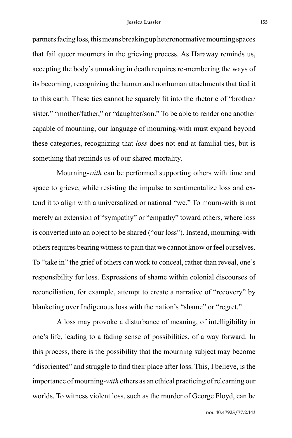partners facing loss, this means breaking up heteronormative mourning spaces that fail queer mourners in the grieving process. As Haraway reminds us, accepting the body's unmaking in death requires re-membering the ways of its becoming, recognizing the human and nonhuman attachments that tied it to this earth. These ties cannot be squarely fit into the rhetoric of "brother/ sister," "mother/father," or "daughter/son." To be able to render one another capable of mourning, our language of mourning-with must expand beyond these categories, recognizing that *loss* does not end at familial ties, but is something that reminds us of our shared mortality.

Mourning-*with* can be performed supporting others with time and space to grieve, while resisting the impulse to sentimentalize loss and extend it to align with a universalized or national "we." To mourn-with is not merely an extension of "sympathy" or "empathy" toward others, where loss is converted into an object to be shared ("our loss"). Instead, mourning-with others requires bearing witness to pain that we cannot know or feel ourselves. To "take in" the grief of others can work to conceal, rather than reveal, one's responsibility for loss. Expressions of shame within colonial discourses of reconciliation, for example, attempt to create a narrative of "recovery" by blanketing over Indigenous loss with the nation's "shame" or "regret."

A loss may provoke a disturbance of meaning, of intelligibility in one's life, leading to a fading sense of possibilities, of a way forward. In this process, there is the possibility that the mourning subject may become "disoriented" and struggle to find their place after loss. This, I believe, is the importance of mourning-*with* others as an ethical practicing of relearning our worlds. To witness violent loss, such as the murder of George Floyd, can be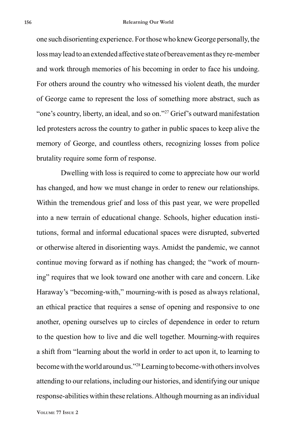one such disorienting experience. For those who knew George personally, the loss may lead to an extended affective state of bereavement as they re-member and work through memories of his becoming in order to face his undoing. For others around the country who witnessed his violent death, the murder of George came to represent the loss of something more abstract, such as "one's country, liberty, an ideal, and so on."<sup>27</sup> Grief's outward manifestation led protesters across the country to gather in public spaces to keep alive the memory of George, and countless others, recognizing losses from police brutality require some form of response.

Dwelling with loss is required to come to appreciate how our world has changed, and how we must change in order to renew our relationships. Within the tremendous grief and loss of this past year, we were propelled into a new terrain of educational change. Schools, higher education institutions, formal and informal educational spaces were disrupted, subverted or otherwise altered in disorienting ways. Amidst the pandemic, we cannot continue moving forward as if nothing has changed; the "work of mourning" requires that we look toward one another with care and concern. Like Haraway's "becoming-with," mourning-with is posed as always relational, an ethical practice that requires a sense of opening and responsive to one another, opening ourselves up to circles of dependence in order to return to the question how to live and die well together. Mourning-with requires a shift from "learning about the world in order to act upon it, to learning to become with the world around us."28 Learning to become-with others involves attending to our relations, including our histories, and identifying our unique response-abilities within these relations. Although mourning as an individual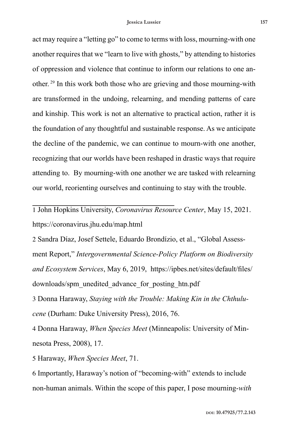act may require a "letting go" to come to terms with loss, mourning-with one another requires that we "learn to live with ghosts," by attending to histories of oppression and violence that continue to inform our relations to one another. 29 In this work both those who are grieving and those mourning-with are transformed in the undoing, relearning, and mending patterns of care and kinship. This work is not an alternative to practical action, rather it is the foundation of any thoughtful and sustainable response. As we anticipate the decline of the pandemic, we can continue to mourn-with one another, recognizing that our worlds have been reshaped in drastic ways that require attending to. By mourning-with one another we are tasked with relearning our world, reorienting ourselves and continuing to stay with the trouble.

1 John Hopkins University, *Coronavirus Resource Center*, May 15, 2021. https://coronavirus.jhu.edu/map.html

2 Sandra Díaz, Josef Settele, Eduardo Brondízio, et al., "Global Assessment Report," *Intergovernmental Science-Policy Platform on Biodiversity and Ecosystem Services*, May 6, 2019, https://ipbes.net/sites/default/files/ downloads/spm\_unedited\_advance\_for\_posting\_htn.pdf

3 Donna Haraway, *Staying with the Trouble: Making Kin in the Chthulucene* (Durham: Duke University Press), 2016, 76.

4 Donna Haraway, *When Species Meet* (Minneapolis: University of Minnesota Press, 2008), 17.

5 Haraway, *When Species Meet*, 71.

6 Importantly, Haraway's notion of "becoming-with" extends to include non-human animals. Within the scope of this paper, I pose mourning-*with*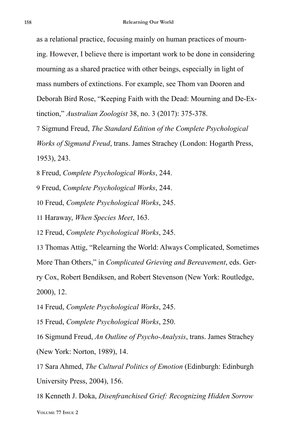as a relational practice, focusing mainly on human practices of mourning. However, I believe there is important work to be done in considering mourning as a shared practice with other beings, especially in light of mass numbers of extinctions. For example, see Thom van Dooren and Deborah Bird Rose, "Keeping Faith with the Dead: Mourning and De-Extinction," *Australian Zoologist* 38, no. 3 (2017): 375-378.

7 Sigmund Freud, *The Standard Edition of the Complete Psychological Works of Sigmund Freud*, trans. James Strachey (London: Hogarth Press, 1953), 243.

8 Freud, *Complete Psychological Works*, 244.

9 Freud, *Complete Psychological Works*, 244.

10 Freud, *Complete Psychological Works*, 245.

11 Haraway, *When Species Meet*, 163.

12 Freud, *Complete Psychological Works*, 245.

13 Thomas Attig, "Relearning the World: Always Complicated, Sometimes More Than Others," in *Complicated Grieving and Bereavement*, eds. Ger-

ry Cox, Robert Bendiksen, and Robert Stevenson (New York: Routledge, 2000), 12.

14 Freud, *Complete Psychological Works*, 245.

15 Freud, *Complete Psychological Works*, 250.

16 Sigmund Freud, *An Outline of Psycho-Analysis*, trans. James Strachey (New York: Norton, 1989), 14.

17 Sara Ahmed, *The Cultural Politics of Emotion* (Edinburgh: Edinburgh University Press, 2004), 156.

**Volume 77 Issue 2** 18 Kenneth J. Doka, *Disenfranchised Grief: Recognizing Hidden Sorrow*